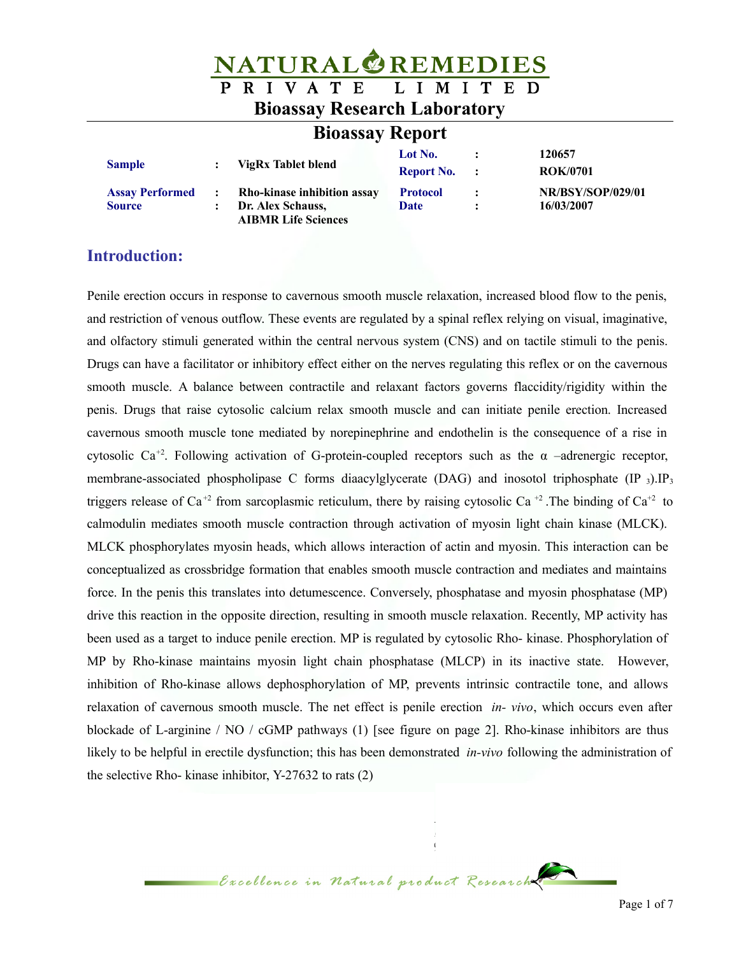| <b>NATURAL REMEDIES</b>             |                |                                                 |                   |                      |                          |  |  |
|-------------------------------------|----------------|-------------------------------------------------|-------------------|----------------------|--------------------------|--|--|
|                                     | P              | RIVATE LIMITED                                  |                   |                      |                          |  |  |
| <b>Bioassay Research Laboratory</b> |                |                                                 |                   |                      |                          |  |  |
| <b>Bioassay Report</b>              |                |                                                 |                   |                      |                          |  |  |
| <b>Sample</b>                       |                | <b>VigRx Tablet blend</b>                       | Lot No.           |                      | 120657                   |  |  |
|                                     |                |                                                 | <b>Report No.</b> | $\ddot{\phantom{1}}$ | <b>ROK/0701</b>          |  |  |
| <b>Assay Performed</b>              |                | Rho-kinase inhibition assay                     | <b>Protocol</b>   | $\ddot{\cdot}$       | <b>NR/BSY/SOP/029/01</b> |  |  |
| <b>Source</b>                       | $\ddot{\cdot}$ | Dr. Alex Schauss,<br><b>AIBMR Life Sciences</b> | <b>Date</b>       | $\bullet$            | 16/03/2007               |  |  |

#### **Introduction:**

Penile erection occurs in response to cavernous smooth muscle relaxation, increased blood flow to the penis, and restriction of venous outflow. These events are regulated by a spinal reflex relying on visual, imaginative, and olfactory stimuli generated within the central nervous system (CNS) and on tactile stimuli to the penis. Drugs can have a facilitator or inhibitory effect either on the nerves regulating this reflex or on the cavernous smooth muscle. A balance between contractile and relaxant factors governs flaccidity/rigidity within the penis. Drugs that raise cytosolic calcium relax smooth muscle and can initiate penile erection. Increased cavernous smooth muscle tone mediated by norepinephrine and endothelin is the consequence of a rise in cytosolic Ca<sup>+2</sup>. Following activation of G-protein-coupled receptors such as the  $\alpha$  –adrenergic receptor, membrane-associated phospholipase C forms diaacylglycerate (DAG) and inosotol triphosphate (IP 3).IP<sub>3</sub> triggers release of Ca<sup>+2</sup> from sarcoplasmic reticulum, there by raising cytosolic Ca<sup>+2</sup>. The binding of Ca<sup>+2</sup> to calmodulin mediates smooth muscle contraction through activation of myosin light chain kinase (MLCK). MLCK phosphorylates myosin heads, which allows interaction of actin and myosin. This interaction can be conceptualized as crossbridge formation that enables smooth muscle contraction and mediates and maintains force. In the penis this translates into detumescence. Conversely, phosphatase and myosin phosphatase (MP) drive this reaction in the opposite direction, resulting in smooth muscle relaxation. Recently, MP activity has been used as a target to induce penile erection. MP is regulated by cytosolic Rho- kinase. Phosphorylation of MP by Rho-kinase maintains myosin light chain phosphatase (MLCP) in its inactive state. However, inhibition of Rho-kinase allows dephosphorylation of MP, prevents intrinsic contractile tone, and allows relaxation of cavernous smooth muscle. The net effect is penile erection *in- vivo*, which occurs even after blockade of L-arginine / NO / cGMP pathways (1) [see figure on page 2]. Rho-kinase inhibitors are thus likely to be helpful in erectile dysfunction; this has been demonstrated *in-vivo* following the administration of the selective Rho- kinase inhibitor, Y-27632 to rats (2)

Excellence in Natural product Research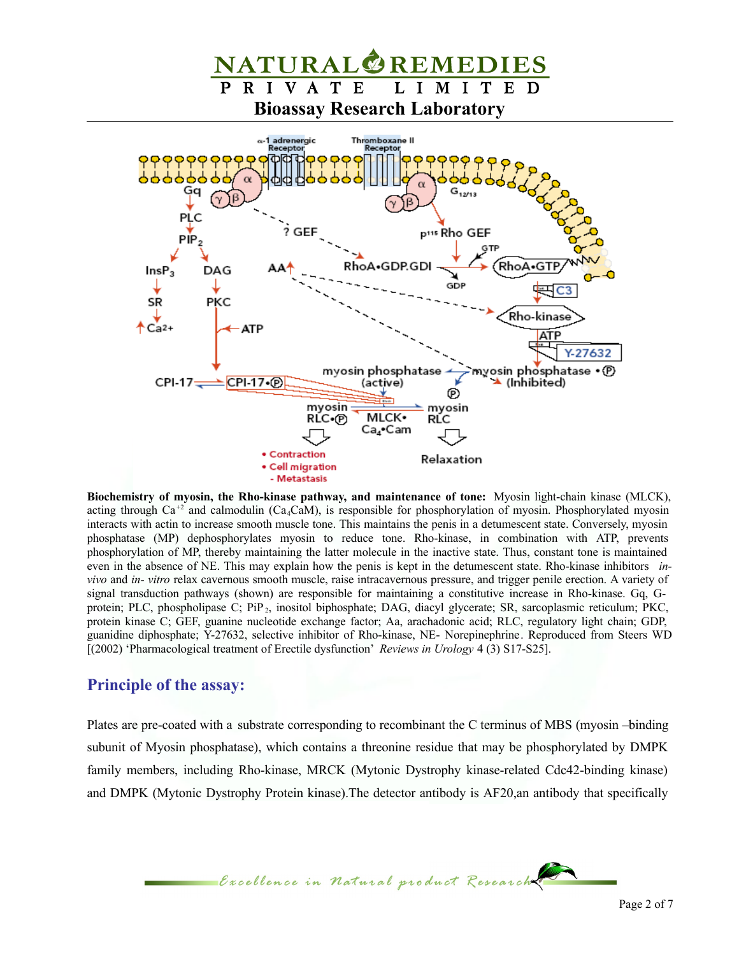

**Biochemistry of myosin, the Rho-kinase pathway, and maintenance of tone:** Myosin light-chain kinase (MLCK), acting through Ca<sup>+2</sup> and calmodulin (Ca<sub>4</sub>CaM), is responsible for phosphorylation of myosin. Phosphorylated myosin interacts with actin to increase smooth muscle tone. This maintains the penis in a detumescent state. Conversely, myosin phosphatase (MP) dephosphorylates myosin to reduce tone. Rho-kinase, in combination with ATP, prevents phosphorylation of MP, thereby maintaining the latter molecule in the inactive state. Thus, constant tone is maintained even in the absence of NE. This may explain how the penis is kept in the detumescent state. Rho-kinase inhibitors *invivo* and *in- vitro* relax cavernous smooth muscle, raise intracavernous pressure, and trigger penile erection. A variety of signal transduction pathways (shown) are responsible for maintaining a constitutive increase in Rho-kinase. Gq, Gprotein; PLC, phospholipase C; PiP<sub>2</sub>, inositol biphosphate; DAG, diacyl glycerate; SR, sarcoplasmic reticulum; PKC, protein kinase C; GEF, guanine nucleotide exchange factor; Aa, arachadonic acid; RLC, regulatory light chain; GDP, guanidine diphosphate; Y-27632, selective inhibitor of Rho-kinase, NE- Norepinephrine. Reproduced from Steers WD [(2002) 'Pharmacological treatment of Erectile dysfunction' *Reviews in Urology* 4 (3) S17-S25].

#### **Principle of the assay:**

Plates are pre-coated with a substrate corresponding to recombinant the C terminus of MBS (myosin –binding subunit of Myosin phosphatase), which contains a threonine residue that may be phosphorylated by DMPK family members, including Rho-kinase, MRCK (Mytonic Dystrophy kinase-related Cdc42-binding kinase) and DMPK (Mytonic Dystrophy Protein kinase).The detector antibody is AF20,an antibody that specifically

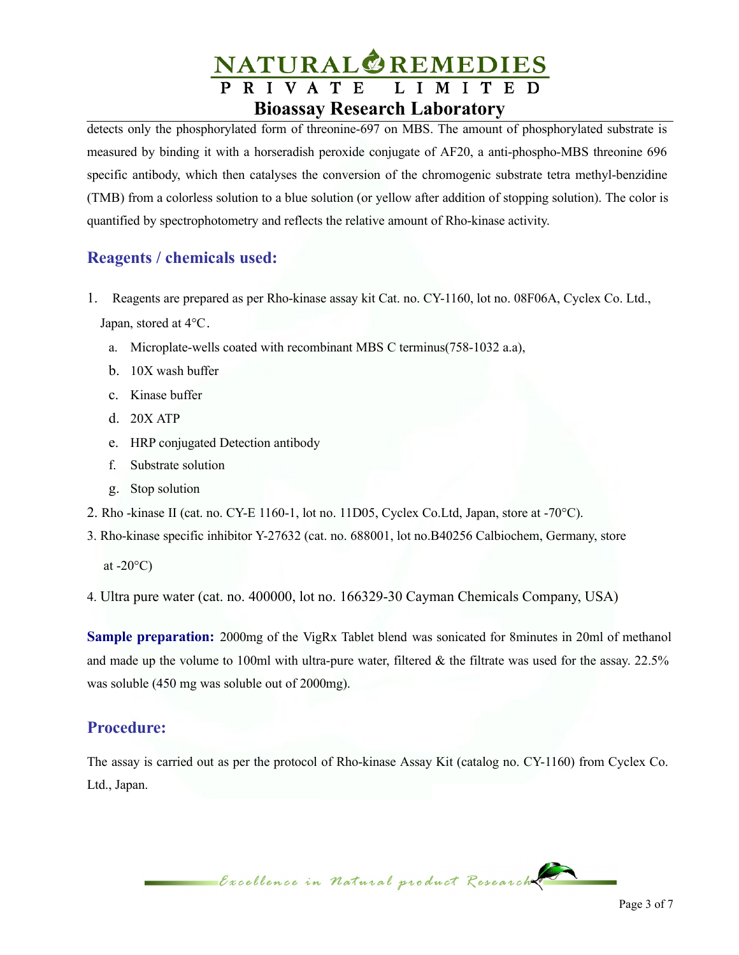# NATURAL<sup>O</sup>REMEDIES **Bioassay Research Laboratory**

detects only the phosphorylated form of threonine-697 on MBS. The amount of phosphorylated substrate is measured by binding it with a horseradish peroxide conjugate of AF20, a anti-phospho-MBS threonine 696 specific antibody, which then catalyses the conversion of the chromogenic substrate tetra methyl-benzidine (TMB) from a colorless solution to a blue solution (or yellow after addition of stopping solution). The color is quantified by spectrophotometry and reflects the relative amount of Rho-kinase activity.

# **Reagents / chemicals used:**

- 1. Reagents are prepared as per Rho-kinase assay kit Cat. no. CY-1160, lot no. 08F06A, Cyclex Co. Ltd., Japan, stored at 4°C.
	- a. Microplate-wells coated with recombinant MBS C terminus(758-1032 a.a),
	- b. 10X wash buffer
	- c. Kinase buffer
	- d. 20X ATP
	- e. HRP conjugated Detection antibody
	- f. Substrate solution
	- g. Stop solution
- 2. Rho -kinase II (cat. no. CY-E 1160-1, lot no. 11D05, Cyclex Co.Ltd, Japan, store at -70°C).
- 3. Rho-kinase specific inhibitor Y-27632 (cat. no. 688001, lot no.B40256 Calbiochem, Germany, store

at  $-20^{\circ}$ C)

4. Ultra pure water (cat. no. 400000, lot no. 166329-30 Cayman Chemicals Company, USA)

**Sample preparation:** 2000mg of the VigRx Tablet blend was sonicated for 8minutes in 20ml of methanol and made up the volume to 100ml with ultra-pure water, filtered  $\&$  the filtrate was used for the assay. 22.5% was soluble (450 mg was soluble out of 2000mg).

### **Procedure:**

The assay is carried out as per the protocol of Rho-kinase Assay Kit (catalog no. CY-1160) from Cyclex Co. Ltd., Japan.

Excellence in Natural product Research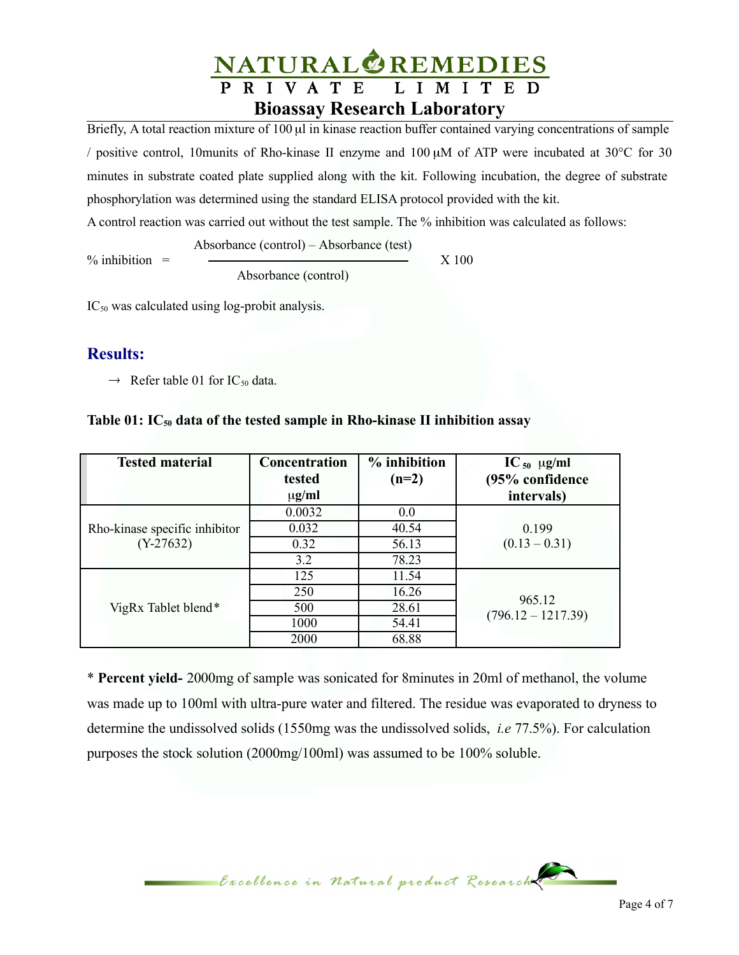

Briefly, A total reaction mixture of 100 µl in kinase reaction buffer contained varying concentrations of sample / positive control, 10munits of Rho-kinase II enzyme and 100 µM of ATP were incubated at 30°C for 30 minutes in substrate coated plate supplied along with the kit. Following incubation, the degree of substrate phosphorylation was determined using the standard ELISA protocol provided with the kit.

A control reaction was carried out without the test sample. The % inhibition was calculated as follows:

 $\%$  inhibition =  $\qquad \qquad \longrightarrow \qquad \qquad \qquad \text{X 100}$ 

Absorbance (control)

Absorbance (control) – Absorbance (test)

 $IC_{50}$  was calculated using log-probit analysis.

## **Results:**

 $\rightarrow$  Refer table 01 for IC<sub>50</sub> data.

#### **Table 01: IC<sup>50</sup> data of the tested sample in Rho-kinase II inhibition assay**

| <b>Tested material</b>        | Concentration<br>tested | $%$ inhibition<br>$(n=2)$ | $IC_{50}$ µg/ml<br>(95% confidence |  |
|-------------------------------|-------------------------|---------------------------|------------------------------------|--|
|                               | $\mu$ g/ml              |                           | intervals)                         |  |
|                               | 0.0032                  | $0.0\,$                   |                                    |  |
| Rho-kinase specific inhibitor | 0.032                   | 40.54                     | 0.199                              |  |
| $(Y-27632)$                   | 0.32                    | 56.13                     | $(0.13 - 0.31)$                    |  |
|                               | 3.2                     | 78.23                     |                                    |  |
|                               | 125                     | 11.54                     |                                    |  |
|                               | 250                     | 16.26                     | 965.12                             |  |
| VigRx Tablet blend*           | 500                     | 28.61                     | $(796.12 - 1217.39)$               |  |
|                               | 1000                    | 54.41                     |                                    |  |
|                               | 2000                    | 68.88                     |                                    |  |

\* **Percent yield-** 2000mg of sample was sonicated for 8minutes in 20ml of methanol, the volume was made up to 100ml with ultra-pure water and filtered. The residue was evaporated to dryness to determine the undissolved solids (1550mg was the undissolved solids, *i.e* 77.5%). For calculation purposes the stock solution (2000mg/100ml) was assumed to be 100% soluble.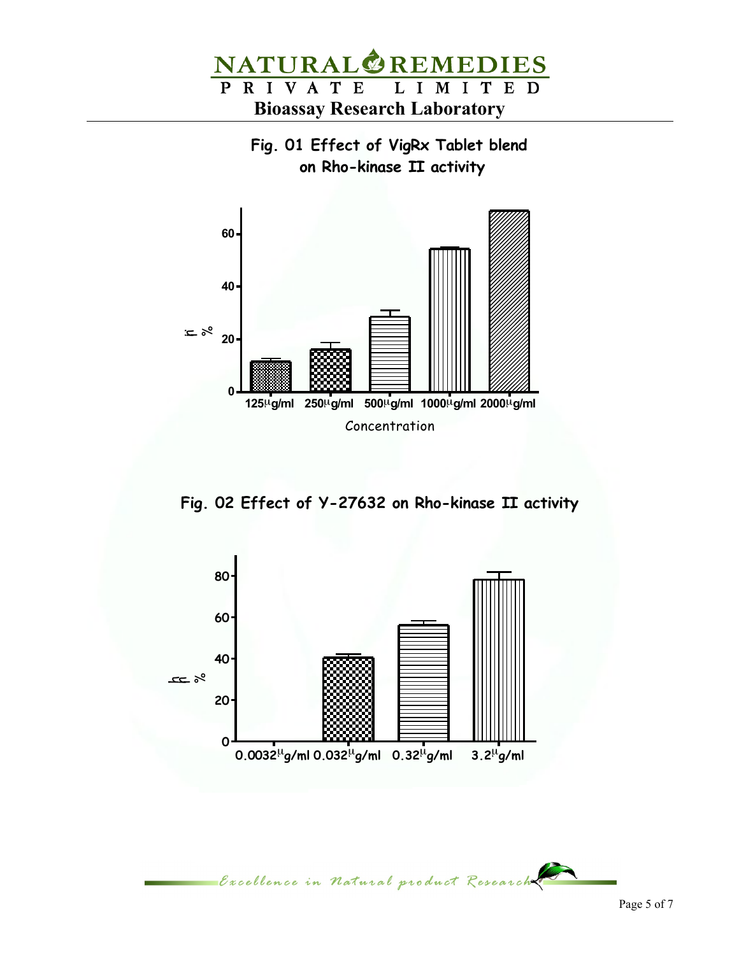

**Fig. 01 Effect of VigRx Tablet blend on Rho-kinase II activity**



**Fig. 02 Effect of Y-27632 on Rho-kinase II activity**



Excellence in Natural product Research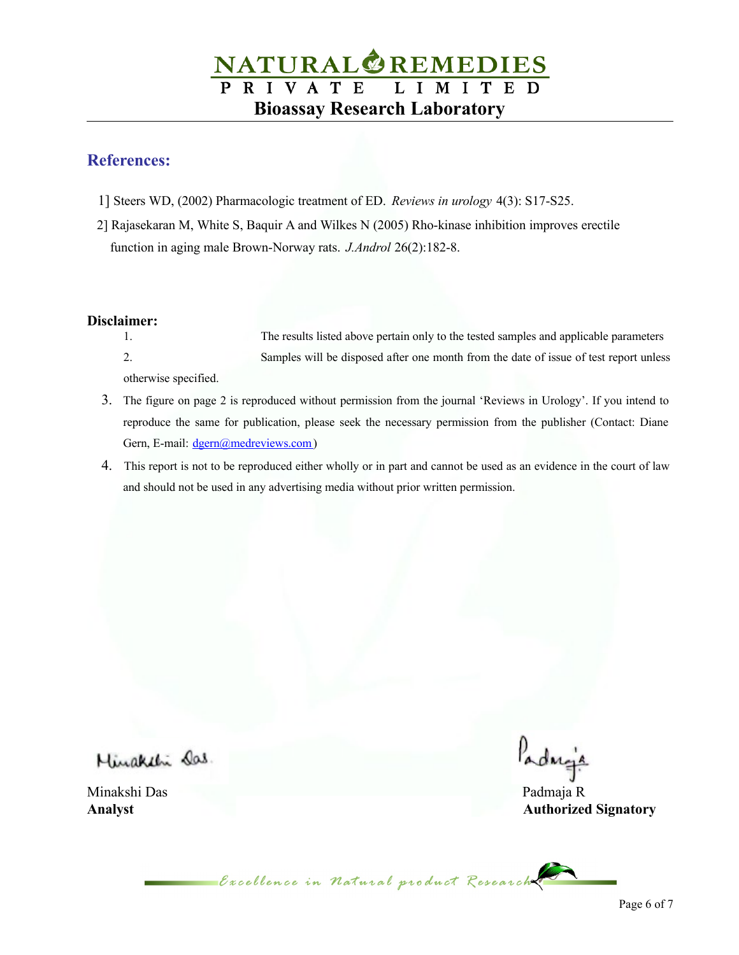# **NATURAL REMEDIES**<br>PRIVATE LIMITED **Bioassay Research Laboratory**

## **References:**

- 1] Steers WD, (2002) Pharmacologic treatment of ED. *Reviews in urology* 4(3): S17-S25.
- 2] Rajasekaran M, White S, Baquir A and Wilkes N (2005) Rho-kinase inhibition improves erectile function in aging male Brown-Norway rats. *J.Androl* 26(2):182-8.

#### **Disclaimer:**

- 1. The results listed above pertain only to the tested samples and applicable parameters 2. Samples will be disposed after one month from the date of issue of test report unless otherwise specified.
- 3. The figure on page 2 is reproduced without permission from the journal 'Reviews in Urology'. If you intend to reproduce the same for publication, please seek the necessary permission from the publisher (Contact: Diane Gern, E-mail: [dgern@medreviews.com\)](mailto:dgern@medreviews.com)
- 4. This report is not to be reproduced either wholly or in part and cannot be used as an evidence in the court of law and should not be used in any advertising media without prior written permission.

Minaketi Das.

Minakshi Das Padmaja R

Padreja

**Analyst Authorized Signatory**

Creellence in Natural product Research